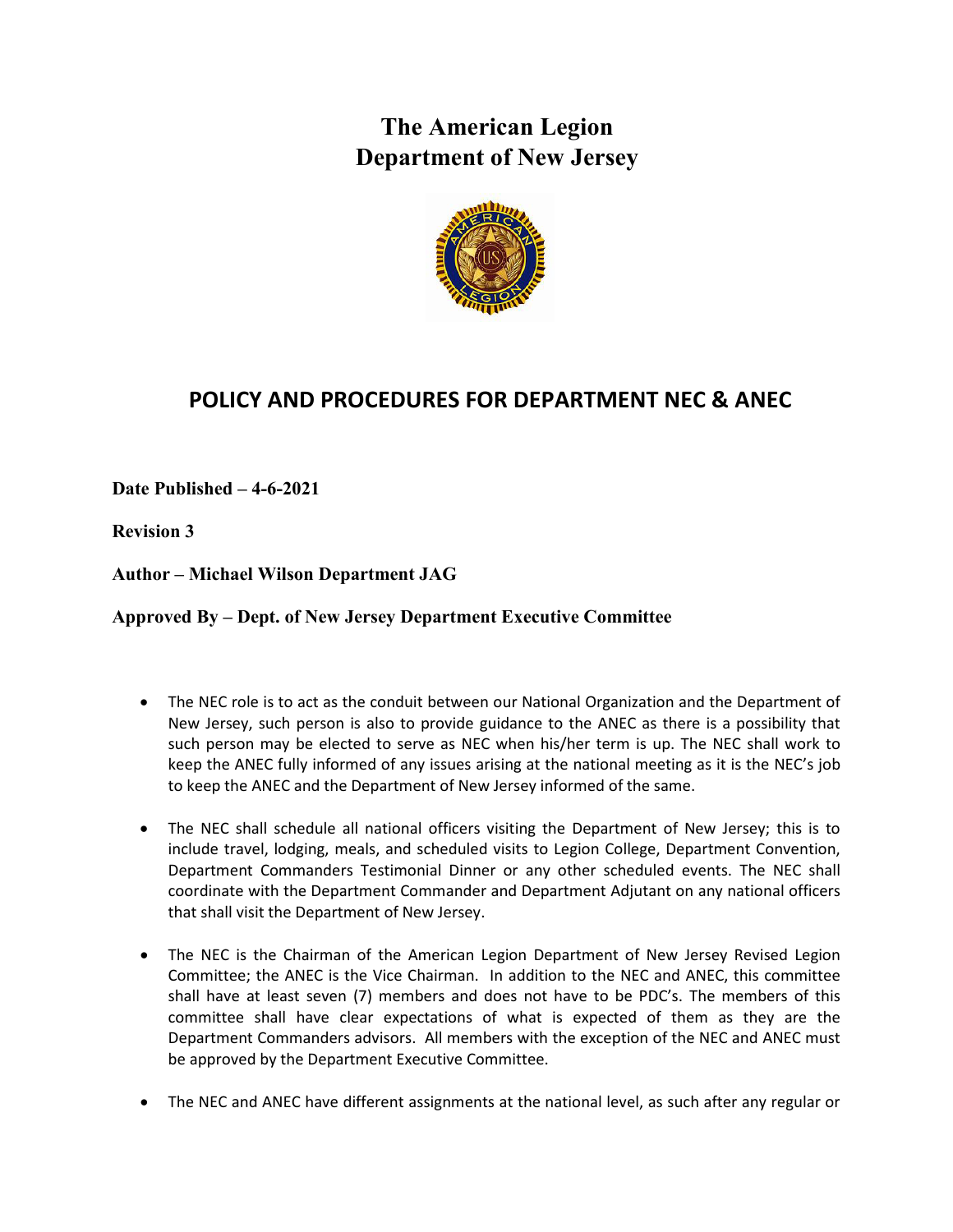## **The American Legion Department of New Jersey**



## **POLICY AND PROCEDURES FOR DEPARTMENT NEC & ANEC**

**Date Published – 4-6-2021**

**Revision 3**

**Author – Michael Wilson Department JAG**

**Approved By – Dept. of New Jersey Department Executive Committee**

- The NEC role is to act as the conduit between our National Organization and the Department of New Jersey, such person is also to provide guidance to the ANEC as there is a possibility that such person may be elected to serve as NEC when his/her term is up. The NEC shall work to keep the ANEC fully informed of any issues arising at the national meeting as it is the NEC's job to keep the ANEC and the Department of New Jersey informed of the same.
- The NEC shall schedule all national officers visiting the Department of New Jersey; this is to include travel, lodging, meals, and scheduled visits to Legion College, Department Convention, Department Commanders Testimonial Dinner or any other scheduled events. The NEC shall coordinate with the Department Commander and Department Adjutant on any national officers that shall visit the Department of New Jersey.
- The NEC is the Chairman of the American Legion Department of New Jersey Revised Legion Committee; the ANEC is the Vice Chairman. In addition to the NEC and ANEC, this committee shall have at least seven (7) members and does not have to be PDC's. The members of this committee shall have clear expectations of what is expected of them as they are the Department Commanders advisors. All members with the exception of the NEC and ANEC must be approved by the Department Executive Committee.
- The NEC and ANEC have different assignments at the national level, as such after any regular or